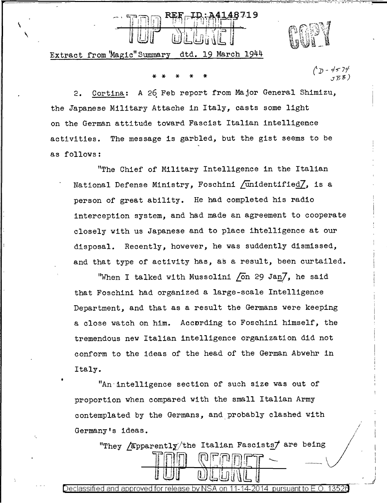48719 \ [!]-~tW~~[ ,

Extract from 'Magic" Summary dtd. 19 March 1944

 $\mathbf{v}$ 

\* \* \* \* \*

I i

2. Cortina: A 26 Feb report from Major General Shimizu, the Japanese Military Attache in Italy, casts some light on the German attitude toward Fascist Italian intelligence activities. The message is garbled, but the gist seems to be as follows:

"The Chief of Military Intelligence in the Italian National Defense Ministry, Foschini  $\dim\left[1\right]$  is a person of great ability. He had completed his radio interception system, and had made an agreement to cooperate closely with us Japanese and to place ihtelligence at our disposal. Recently, however, he was suddently dismissed, and that type of activity has, as a result, been curtailed.

"When I talked with Mussolini  $\sqrt{2}$  On 29 Jan $\sqrt{2}$ , he said that Foschini had organized a large-scale Intelligence Department, and that as a result the Germans were keeping a close watch on him. Accnrding to Foschini himself, the tremendous new Italian intelligence organization did not conform to the ideas of the head of the German Abwehr in Italy.

"An intelligence section of such size was out of proportion when compared with the small Italian Army contemplated by the Germans, and probably clashed with Germany's ideas.

"They *Epparently* the Italian Fascists are being

Declassified and approved for release